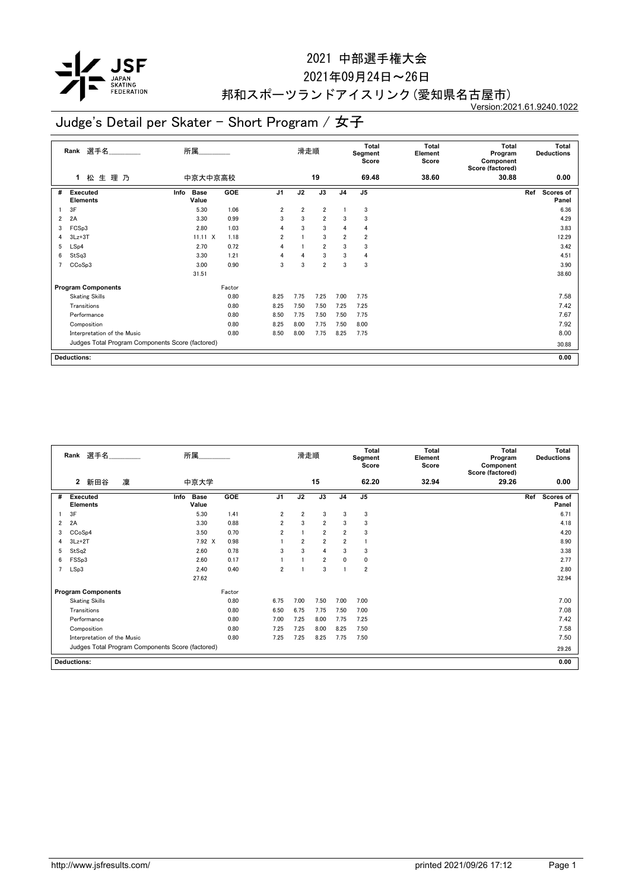

#### 2021年09月24日~26日

## 邦和スポーツランドアイスリンク(愛知県名古屋市)

Version:2021.61.9240.1022

|                | 選手名<br>Rank                                      | 所属                           |        |                | 滑走順            |                |                | Total<br>Segment<br>Score | <b>Total</b><br>Element<br>Score | <b>Total</b><br>Program<br>Component<br>Score (factored) | Total<br><b>Deductions</b>       |
|----------------|--------------------------------------------------|------------------------------|--------|----------------|----------------|----------------|----------------|---------------------------|----------------------------------|----------------------------------------------------------|----------------------------------|
|                | 松生理乃<br>1.                                       | 中京大中京高校                      |        |                |                | 19             |                | 69.48                     | 38.60                            | 30.88                                                    | 0.00                             |
| #              | <b>Executed</b><br><b>Elements</b>               | <b>Base</b><br>Info<br>Value | GOE    | J <sub>1</sub> | J2             | J3             | J <sub>4</sub> | J <sub>5</sub>            |                                  |                                                          | Ref<br><b>Scores of</b><br>Panel |
|                | 3F                                               | 5.30                         | 1.06   | $\overline{2}$ | $\overline{2}$ | $\overline{2}$ |                | 3                         |                                  |                                                          | 6.36                             |
| 2              | 2A                                               | 3.30                         | 0.99   | 3              | 3              | $\overline{2}$ | 3              | 3                         |                                  |                                                          | 4.29                             |
| 3              | FCSp3                                            | 2.80                         | 1.03   | 4              | 3              | 3              | 4              | 4                         |                                  |                                                          | 3.83                             |
| 4              | $3Lz + 3T$                                       | $11.11 \times$               | 1.18   | $\overline{2}$ |                | 3              | $\overline{2}$ | $\overline{2}$            |                                  |                                                          | 12.29                            |
| 5              | LSp4                                             | 2.70                         | 0.72   | 4              |                | $\overline{2}$ | 3              | 3                         |                                  |                                                          | 3.42                             |
| 6              | StSq3                                            | 3.30                         | 1.21   | $\overline{4}$ | $\overline{4}$ | 3              | 3              | 4                         |                                  |                                                          | 4.51                             |
| $\overline{ }$ | CCoSp3                                           | 3.00                         | 0.90   | 3              | 3              | $\overline{2}$ | 3              | 3                         |                                  |                                                          | 3.90                             |
|                |                                                  | 31.51                        |        |                |                |                |                |                           |                                  |                                                          | 38.60                            |
|                | <b>Program Components</b>                        |                              | Factor |                |                |                |                |                           |                                  |                                                          |                                  |
|                | <b>Skating Skills</b>                            |                              | 0.80   | 8.25           | 7.75           | 7.25           | 7.00           | 7.75                      |                                  |                                                          | 7.58                             |
|                | Transitions                                      |                              | 0.80   | 8.25           | 7.50           | 7.50           | 7.25           | 7.25                      |                                  |                                                          | 7.42                             |
|                | Performance                                      |                              | 0.80   | 8.50           | 7.75           | 7.50           | 7.50           | 7.75                      |                                  |                                                          | 7.67                             |
|                | Composition                                      |                              | 0.80   | 8.25           | 8.00           | 7.75           | 7.50           | 8.00                      |                                  |                                                          | 7.92                             |
|                | Interpretation of the Music                      |                              | 0.80   | 8.50           | 8.00           | 7.75           | 8.25           | 7.75                      |                                  |                                                          | 8.00                             |
|                | Judges Total Program Components Score (factored) |                              |        |                |                |                |                |                           |                                  |                                                          | 30.88                            |
|                | <b>Deductions:</b>                               |                              |        |                |                |                |                |                           |                                  |                                                          | 0.00                             |

|                | Rank                            | 選手名                                |   |                                                  | 所属                   |            |                | 滑走順            |                |                | <b>Total</b><br>Segment<br>Score | <b>Total</b><br>Element<br>Score | <b>Total</b><br>Program<br>Component<br>Score (factored) |     | <b>Total</b><br><b>Deductions</b> |
|----------------|---------------------------------|------------------------------------|---|--------------------------------------------------|----------------------|------------|----------------|----------------|----------------|----------------|----------------------------------|----------------------------------|----------------------------------------------------------|-----|-----------------------------------|
|                | $\mathbf{2}$                    | 新田谷                                | 凜 |                                                  | 中京大学                 |            |                |                | 15             |                | 62.20                            | 32.94                            | 29.26                                                    |     | 0.00                              |
| #              |                                 | <b>Executed</b><br><b>Elements</b> |   | Info                                             | <b>Base</b><br>Value | <b>GOE</b> | J <sub>1</sub> | J2             | J3             | J <sub>4</sub> | J <sub>5</sub>                   |                                  |                                                          | Ref | Scores of<br>Panel                |
|                | 3F                              |                                    |   |                                                  | 5.30                 | 1.41       | $\overline{2}$ | $\overline{2}$ | 3              | 3              | 3                                |                                  |                                                          |     | 6.71                              |
| 2              | 2A                              |                                    |   |                                                  | 3.30                 | 0.88       | $\overline{2}$ | 3              | $\overline{2}$ | 3              | 3                                |                                  |                                                          |     | 4.18                              |
| 3              | CC <sub>o</sub> S <sub>p4</sub> |                                    |   |                                                  | 3.50                 | 0.70       | $\overline{2}$ |                | $\overline{2}$ | $\overline{2}$ | 3                                |                                  |                                                          |     | 4.20                              |
| 4              | $3Lz+2T$                        |                                    |   |                                                  | 7.92 X               | 0.98       |                | 2              | $\overline{2}$ | $\overline{2}$ | -1                               |                                  |                                                          |     | 8.90                              |
| 5              | StSq2                           |                                    |   |                                                  | 2.60                 | 0.78       | 3              | 3              | 4              | 3              | 3                                |                                  |                                                          |     | 3.38                              |
| 6              | FSS <sub>p3</sub>               |                                    |   |                                                  | 2.60                 | 0.17       |                |                | $\overline{2}$ | 0              | 0                                |                                  |                                                          |     | 2.77                              |
| $\overline{7}$ | LSp3                            |                                    |   |                                                  | 2.40                 | 0.40       | 2              |                | 3              |                | $\overline{2}$                   |                                  |                                                          |     | 2.80                              |
|                |                                 |                                    |   |                                                  | 27.62                |            |                |                |                |                |                                  |                                  |                                                          |     | 32.94                             |
|                |                                 | <b>Program Components</b>          |   |                                                  |                      | Factor     |                |                |                |                |                                  |                                  |                                                          |     |                                   |
|                |                                 | <b>Skating Skills</b>              |   |                                                  |                      | 0.80       | 6.75           | 7.00           | 7.50           | 7.00           | 7.00                             |                                  |                                                          |     | 7.00                              |
|                |                                 | Transitions                        |   |                                                  |                      | 0.80       | 6.50           | 6.75           | 7.75           | 7.50           | 7.00                             |                                  |                                                          |     | 7.08                              |
|                |                                 | Performance                        |   |                                                  |                      | 0.80       | 7.00           | 7.25           | 8.00           | 7.75           | 7.25                             |                                  |                                                          |     | 7.42                              |
|                |                                 | Composition                        |   |                                                  |                      | 0.80       | 7.25           | 7.25           | 8.00           | 8.25           | 7.50                             |                                  |                                                          |     | 7.58                              |
|                |                                 | Interpretation of the Music        |   |                                                  |                      | 0.80       | 7.25           | 7.25           | 8.25           | 7.75           | 7.50                             |                                  |                                                          |     | 7.50                              |
|                |                                 |                                    |   | Judges Total Program Components Score (factored) |                      |            |                |                |                |                |                                  |                                  |                                                          |     | 29.26                             |
|                | <b>Deductions:</b>              |                                    |   |                                                  |                      |            |                |                |                |                |                                  |                                  |                                                          |     | 0.00                              |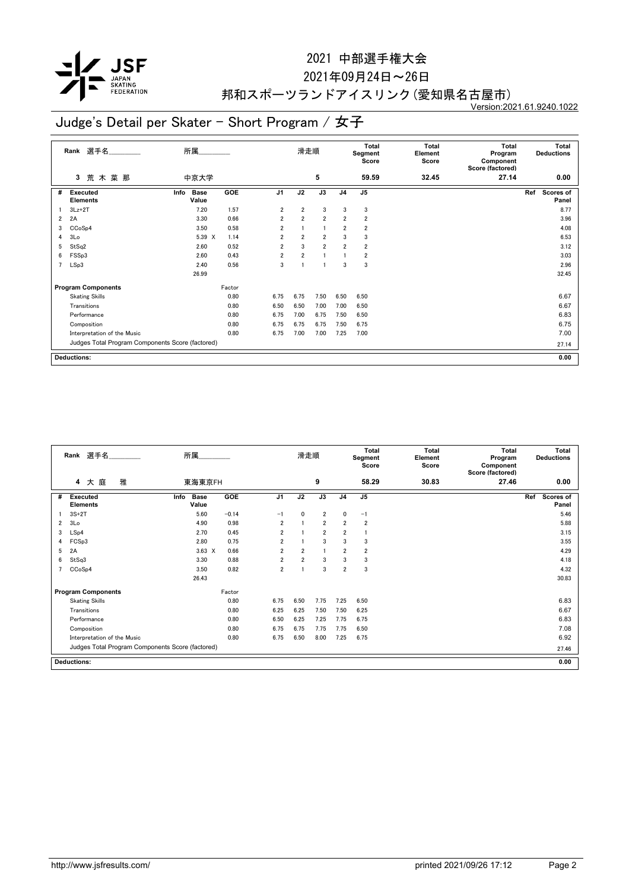

#### 2021年09月24日~26日

## 邦和スポーツランドアイスリンク(愛知県名古屋市)

Version:2021.61.9240.1022

|                         | 選手名<br>Rank                                      | 所属                           |        |                | 滑走順            |                |                | <b>Total</b><br>Segment<br>Score | <b>Total</b><br>Element<br>Score | <b>Total</b><br>Program<br>Component<br>Score (factored) | <b>Total</b><br><b>Deductions</b> |
|-------------------------|--------------------------------------------------|------------------------------|--------|----------------|----------------|----------------|----------------|----------------------------------|----------------------------------|----------------------------------------------------------|-----------------------------------|
|                         | 荒木菜那<br>3                                        | 中京大学                         |        |                |                | 5              |                | 59.59                            | 32.45                            | 27.14                                                    | 0.00                              |
| #                       | <b>Executed</b><br><b>Elements</b>               | <b>Base</b><br>Info<br>Value | GOE    | J <sub>1</sub> | J2             | J3             | J <sub>4</sub> | J <sub>5</sub>                   |                                  |                                                          | Ref<br>Scores of<br>Panel         |
|                         | $3Lz + 2T$                                       | 7.20                         | 1.57   | $\overline{2}$ | $\overline{2}$ | 3              | 3              | 3                                |                                  |                                                          | 8.77                              |
| $\overline{\mathbf{2}}$ | 2A                                               | 3.30                         | 0.66   | $\overline{2}$ | $\overline{2}$ | $\overline{2}$ | $\overline{2}$ | $\overline{\mathbf{2}}$          |                                  |                                                          | 3.96                              |
| 3                       | CCoSp4                                           | 3.50                         | 0.58   | $\overline{2}$ |                | 1              | $\overline{2}$ | $\overline{2}$                   |                                  |                                                          | 4.08                              |
| 4                       | 3Lo                                              | 5.39 X                       | 1.14   | $\overline{2}$ | $\overline{2}$ | $\overline{2}$ | 3              | 3                                |                                  |                                                          | 6.53                              |
| 5                       | StSq2                                            | 2.60                         | 0.52   | $\overline{2}$ | 3              | $\overline{2}$ | $\overline{2}$ | $\overline{2}$                   |                                  |                                                          | 3.12                              |
| 6                       | FSSp3                                            | 2.60                         | 0.43   | $\overline{2}$ | $\overline{2}$ |                |                | $\overline{\mathbf{2}}$          |                                  |                                                          | 3.03                              |
| $\overline{7}$          | LSp3                                             | 2.40                         | 0.56   | 3              |                |                | 3              | 3                                |                                  |                                                          | 2.96                              |
|                         |                                                  | 26.99                        |        |                |                |                |                |                                  |                                  |                                                          | 32.45                             |
|                         | <b>Program Components</b>                        |                              | Factor |                |                |                |                |                                  |                                  |                                                          |                                   |
|                         | <b>Skating Skills</b>                            |                              | 0.80   | 6.75           | 6.75           | 7.50           | 6.50           | 6.50                             |                                  |                                                          | 6.67                              |
|                         | Transitions                                      |                              | 0.80   | 6.50           | 6.50           | 7.00           | 7.00           | 6.50                             |                                  |                                                          | 6.67                              |
|                         | Performance                                      |                              | 0.80   | 6.75           | 7.00           | 6.75           | 7.50           | 6.50                             |                                  |                                                          | 6.83                              |
|                         | Composition                                      |                              | 0.80   | 6.75           | 6.75           | 6.75           | 7.50           | 6.75                             |                                  |                                                          | 6.75                              |
|                         | Interpretation of the Music                      |                              | 0.80   | 6.75           | 7.00           | 7.00           | 7.25           | 7.00                             |                                  |                                                          | 7.00                              |
|                         | Judges Total Program Components Score (factored) |                              |        |                |                |                |                |                                  |                                  |                                                          | 27.14                             |
|                         | <b>Deductions:</b>                               |                              |        |                |                |                |                |                                  |                                  |                                                          | 0.00                              |

|                | 選手名<br>Rank                                      | 所属                           |         |                | 滑走順            |                |                | <b>Total</b><br>Segment<br>Score | Total<br>Element<br>Score | <b>Total</b><br>Program<br>Component<br>Score (factored) | <b>Total</b><br><b>Deductions</b> |
|----------------|--------------------------------------------------|------------------------------|---------|----------------|----------------|----------------|----------------|----------------------------------|---------------------------|----------------------------------------------------------|-----------------------------------|
|                | 大庭<br>雅<br>4                                     | 東海東京FH                       |         |                |                | 9              |                | 58.29                            | 30.83                     | 27.46                                                    | 0.00                              |
| #              | <b>Executed</b><br><b>Elements</b>               | Info<br><b>Base</b><br>Value | GOE     | J <sub>1</sub> | J2             | J3             | J <sub>4</sub> | J <sub>5</sub>                   |                           |                                                          | Ref<br>Scores of<br>Panel         |
|                | $3S+2T$                                          | 5.60                         | $-0.14$ | $-1$           | 0              | $\overline{2}$ | $\mathbf{0}$   | $-1$                             |                           |                                                          | 5.46                              |
| $\overline{2}$ | 3Lo                                              | 4.90                         | 0.98    | $\overline{2}$ |                | $\overline{2}$ | $\overline{2}$ | $\overline{2}$                   |                           |                                                          | 5.88                              |
| 3              | LSp4                                             | 2.70                         | 0.45    | 2              |                | $\overline{2}$ | $\overline{2}$ |                                  |                           |                                                          | 3.15                              |
| 4              | FCSp3                                            | 2.80                         | 0.75    | $\overline{2}$ |                | 3              | 3              | 3                                |                           |                                                          | 3.55                              |
| 5              | 2A                                               | $3.63 \times$                | 0.66    | $\overline{2}$ | $\overline{2}$ | $\mathbf{1}$   | $\overline{2}$ | $\overline{2}$                   |                           |                                                          | 4.29                              |
| 6              | StSq3                                            | 3.30                         | 0.88    | $\overline{2}$ | $\overline{2}$ | 3              | 3              | 3                                |                           |                                                          | 4.18                              |
|                | CCoSp4                                           | 3.50                         | 0.82    | $\overline{2}$ |                | 3              | $\overline{2}$ | 3                                |                           |                                                          | 4.32                              |
|                |                                                  | 26.43                        |         |                |                |                |                |                                  |                           |                                                          | 30.83                             |
|                | <b>Program Components</b>                        |                              | Factor  |                |                |                |                |                                  |                           |                                                          |                                   |
|                | <b>Skating Skills</b>                            |                              | 0.80    | 6.75           | 6.50           | 7.75           | 7.25           | 6.50                             |                           |                                                          | 6.83                              |
|                | Transitions                                      |                              | 0.80    | 6.25           | 6.25           | 7.50           | 7.50           | 6.25                             |                           |                                                          | 6.67                              |
|                | Performance                                      |                              | 0.80    | 6.50           | 6.25           | 7.25           | 7.75           | 6.75                             |                           |                                                          | 6.83                              |
|                | Composition                                      |                              | 0.80    | 6.75           | 6.75           | 7.75           | 7.75           | 6.50                             |                           |                                                          | 7.08                              |
|                | Interpretation of the Music                      |                              | 0.80    | 6.75           | 6.50           | 8.00           | 7.25           | 6.75                             |                           |                                                          | 6.92                              |
|                | Judges Total Program Components Score (factored) |                              |         |                |                |                |                |                                  |                           |                                                          | 27.46                             |
|                | <b>Deductions:</b>                               |                              |         |                |                |                |                |                                  |                           |                                                          | 0.00                              |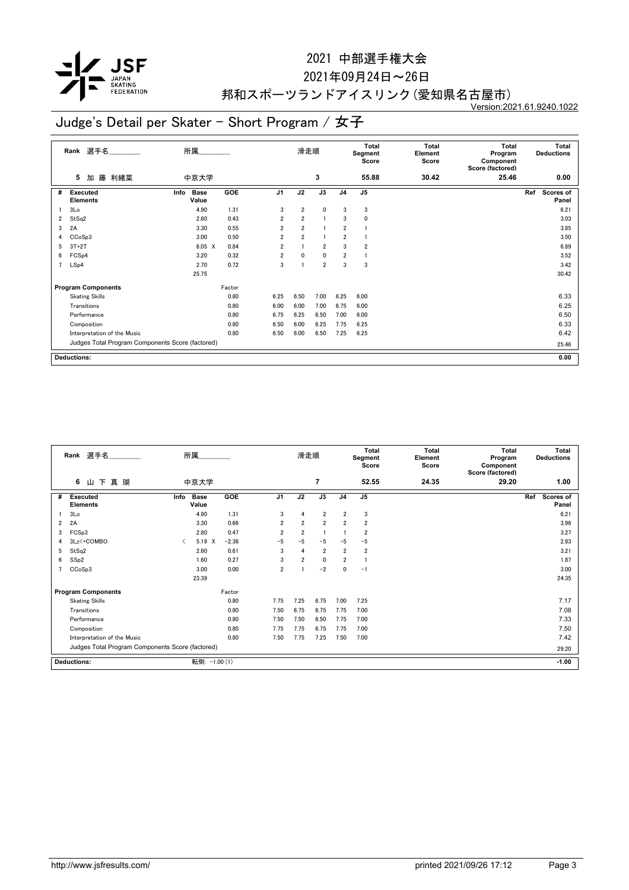

#### 2021年09月24日~26日

## 邦和スポーツランドアイスリンク(愛知県名古屋市)

Version:2021.61.9240.1022

|                | 選手名<br>Rank                                      | 所属                           |        |                | 滑走順            |                |                | <b>Total</b><br>Segment<br>Score | <b>Total</b><br>Element<br>Score | <b>Total</b><br>Program<br>Component<br>Score (factored) | <b>Total</b><br><b>Deductions</b> |
|----------------|--------------------------------------------------|------------------------------|--------|----------------|----------------|----------------|----------------|----------------------------------|----------------------------------|----------------------------------------------------------|-----------------------------------|
|                | 藤 利緒菜<br>5<br>加                                  | 中京大学                         |        |                |                | 3              |                | 55.88                            | 30.42                            | 25.46                                                    | 0.00                              |
| #              | <b>Executed</b><br><b>Elements</b>               | <b>Base</b><br>Info<br>Value | GOE    | J <sub>1</sub> | J2             | J3             | J <sub>4</sub> | J <sub>5</sub>                   |                                  |                                                          | Ref<br>Scores of<br>Panel         |
|                | 3Lo                                              | 4.90                         | 1.31   | 3              | $\overline{2}$ | $\mathbf{0}$   | 3              | 3                                |                                  |                                                          | 6.21                              |
| 2              | StSq2                                            | 2.60                         | 0.43   | 2              | $\overline{2}$ | 11             | 3              | 0                                |                                  |                                                          | 3.03                              |
| 3              | 2A                                               | 3.30                         | 0.55   | $\overline{2}$ | $\overline{2}$ |                | $\overline{2}$ |                                  |                                  |                                                          | 3.85                              |
| 4              | CCoSp3                                           | 3.00                         | 0.50   | $\overline{2}$ | $\overline{2}$ |                | $\overline{2}$ |                                  |                                  |                                                          | 3.50                              |
| 5              | $3T+2T$                                          | 6.05 X                       | 0.84   | $\overline{2}$ |                | $\overline{2}$ | 3              | $\overline{2}$                   |                                  |                                                          | 6.89                              |
| 6              | FCS <sub>p4</sub>                                | 3.20                         | 0.32   | $\overline{2}$ | 0              | $\mathbf{0}$   | $\overline{2}$ |                                  |                                  |                                                          | 3.52                              |
| $\overline{7}$ | LSp4                                             | 2.70                         | 0.72   | 3              |                | $\overline{2}$ | 3              | 3                                |                                  |                                                          | 3.42                              |
|                |                                                  | 25.75                        |        |                |                |                |                |                                  |                                  |                                                          | 30.42                             |
|                | <b>Program Components</b>                        |                              | Factor |                |                |                |                |                                  |                                  |                                                          |                                   |
|                | <b>Skating Skills</b>                            |                              | 0.80   | 6.25           | 6.50           | 7.00           | 6.25           | 6.00                             |                                  |                                                          | 6.33                              |
|                | Transitions                                      |                              | 0.80   | 6.00           | 6.00           | 7.00           | 6.75           | 6.00                             |                                  |                                                          | 6.25                              |
|                | Performance                                      |                              | 0.80   | 6.75           | 6.25           | 6.50           | 7.00           | 6.00                             |                                  |                                                          | 6.50                              |
|                | Composition                                      |                              | 0.80   | 6.50           | 6.00           | 6.25           | 7.75           | 6.25                             |                                  |                                                          | 6.33                              |
|                | Interpretation of the Music                      |                              | 0.80   | 6.50           | 6.00           | 6.50           | 7.25           | 6.25                             |                                  |                                                          | 6.42                              |
|                | Judges Total Program Components Score (factored) |                              |        |                |                |                |                |                                  |                                  |                                                          | 25.46                             |
|                | <b>Deductions:</b>                               |                              |        |                |                |                |                |                                  |                                  |                                                          | 0.00                              |

|   | Rank 選手名                                         |      | 所属                   |         |                | 滑走順            |                |                | Total<br>Segment<br>Score | <b>Total</b><br>Element<br>Score | Total<br>Program<br>Component<br>Score (factored) |     | <b>Total</b><br><b>Deductions</b> |
|---|--------------------------------------------------|------|----------------------|---------|----------------|----------------|----------------|----------------|---------------------------|----------------------------------|---------------------------------------------------|-----|-----------------------------------|
|   | 下真瑚<br>6<br>Ш                                    |      | 中京大学                 |         |                |                | 7              |                | 52.55                     | 24.35                            | 29.20                                             |     | 1.00                              |
| # | Executed<br>Elements                             | Info | <b>Base</b><br>Value | GOE     | J <sub>1</sub> | J2             | J3             | J <sub>4</sub> | J <sub>5</sub>            |                                  |                                                   | Ref | Scores of<br>Panel                |
|   | 3 <sub>0</sub>                                   |      | 4.90                 | 1.31    | 3              | 4              | $\overline{2}$ | $\overline{2}$ | 3                         |                                  |                                                   |     | 6.21                              |
| 2 | 2A                                               |      | 3.30                 | 0.66    | $\overline{2}$ | $\overline{2}$ | $\overline{2}$ | $\overline{2}$ | $\overline{2}$            |                                  |                                                   |     | 3.96                              |
| 3 | FCSp3                                            |      | 2.80                 | 0.47    | $\overline{2}$ | $\overline{2}$ |                |                | $\overline{2}$            |                                  |                                                   |     | 3.27                              |
| 4 | 3Lz <+ COMBO                                     | ≺    | 5.19 X               | $-2.36$ | $-5$           | $-5$           | $-5$           | $-5$           | $-5$                      |                                  |                                                   |     | 2.83                              |
| 5 | StSq2                                            |      | 2.60                 | 0.61    | 3              | $\overline{4}$ | $\overline{2}$ | $\overline{2}$ | $\overline{2}$            |                                  |                                                   |     | 3.21                              |
| 6 | SS <sub>p2</sub>                                 |      | 1.60                 | 0.27    | 3              | $\overline{2}$ | $\mathbf 0$    | $\overline{2}$ |                           |                                  |                                                   |     | 1.87                              |
|   | CCoSp3                                           |      | 3.00                 | 0.00    | $\overline{2}$ |                | $-2$           | 0              | $-1$                      |                                  |                                                   |     | 3.00                              |
|   |                                                  |      | 23.39                |         |                |                |                |                |                           |                                  |                                                   |     | 24.35                             |
|   | <b>Program Components</b>                        |      |                      | Factor  |                |                |                |                |                           |                                  |                                                   |     |                                   |
|   | <b>Skating Skills</b>                            |      |                      | 0.80    | 7.75           | 7.25           | 6.75           | 7.00           | 7.25                      |                                  |                                                   |     | 7.17                              |
|   | Transitions                                      |      |                      | 0.80    | 7.50           | 6.75           | 6.75           | 7.75           | 7.00                      |                                  |                                                   |     | 7.08                              |
|   | Performance                                      |      |                      | 0.80    | 7.50           | 7.50           | 6.50           | 7.75           | 7.00                      |                                  |                                                   |     | 7.33                              |
|   | Composition                                      |      |                      | 0.80    | 7.75           | 7.75           | 6.75           | 7.75           | 7.00                      |                                  |                                                   |     | 7.50                              |
|   | Interpretation of the Music                      |      |                      | 0.80    | 7.50           | 7.75           | 7.25           | 7.50           | 7.00                      |                                  |                                                   |     | 7.42                              |
|   | Judges Total Program Components Score (factored) |      |                      |         |                |                |                |                |                           |                                  |                                                   |     | 29.20                             |
|   | <b>Deductions:</b>                               |      | 転倒: -1.00 (1)        |         |                |                |                |                |                           |                                  |                                                   |     | $-1.00$                           |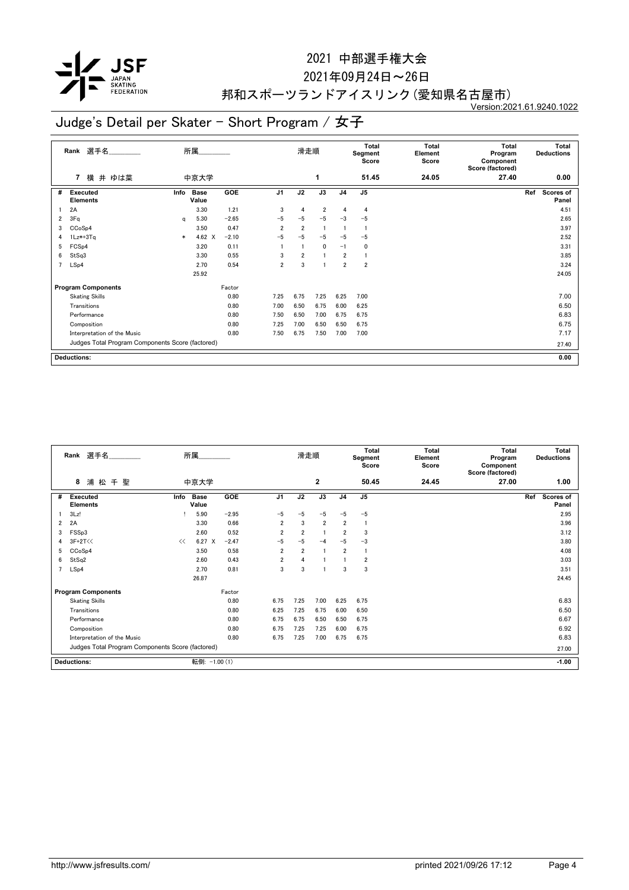

#### 2021年09月24日~26日

## 邦和スポーツランドアイスリンク(愛知県名古屋市)

Version:2021.61.9240.1022

|                | 選手名<br>Rank                                      |        | 所属                   |         |                | 滑走順            |                |                | Total<br>Segment<br>Score | <b>Total</b><br>Element<br>Score | <b>Total</b><br>Program<br>Component<br>Score (factored) | Total<br><b>Deductions</b>       |
|----------------|--------------------------------------------------|--------|----------------------|---------|----------------|----------------|----------------|----------------|---------------------------|----------------------------------|----------------------------------------------------------|----------------------------------|
|                | 横 井 ゆは菜<br>7                                     |        | 中京大学                 |         |                |                | 1              |                | 51.45                     | 24.05                            | 27.40                                                    | 0.00                             |
| #              | <b>Executed</b><br><b>Elements</b>               | Info   | <b>Base</b><br>Value | GOE     | J <sub>1</sub> | J2             | J3             | J <sub>4</sub> | J <sub>5</sub>            |                                  |                                                          | Ref<br><b>Scores of</b><br>Panel |
|                | 2A                                               |        | 3.30                 | 1.21    | 3              | $\overline{4}$ | $\overline{2}$ | 4              | 4                         |                                  |                                                          | 4.51                             |
| 2              | 3Fq                                              | a      | 5.30                 | $-2.65$ | $-5$           | $-5$           | $-5$           | $-3$           | $-5$                      |                                  |                                                          | 2.65                             |
| 3              | CCoSp4                                           |        | 3.50                 | 0.47    | $\overline{2}$ | $\overline{2}$ | -1             |                | -1                        |                                  |                                                          | 3.97                             |
| 4              | $1Lz*+3Tq$                                       | $\ast$ | 4.62 X               | $-2.10$ | $-5$           | -5             | $-5$           | $-5$           | $-5$                      |                                  |                                                          | 2.52                             |
| 5              | FCS <sub>p4</sub>                                |        | 3.20                 | 0.11    |                |                | $\mathbf{0}$   | $-1$           | 0                         |                                  |                                                          | 3.31                             |
| 6              | StSq3                                            |        | 3.30                 | 0.55    | 3              | $\overline{2}$ |                | $\overline{2}$ | 1                         |                                  |                                                          | 3.85                             |
| $\overline{7}$ | LSp4                                             |        | 2.70                 | 0.54    | $\overline{2}$ | 3              |                | $\overline{2}$ | $\overline{2}$            |                                  |                                                          | 3.24                             |
|                |                                                  |        | 25.92                |         |                |                |                |                |                           |                                  |                                                          | 24.05                            |
|                | <b>Program Components</b>                        |        |                      | Factor  |                |                |                |                |                           |                                  |                                                          |                                  |
|                | <b>Skating Skills</b>                            |        |                      | 0.80    | 7.25           | 6.75           | 7.25           | 6.25           | 7.00                      |                                  |                                                          | 7.00                             |
|                | Transitions                                      |        |                      | 0.80    | 7.00           | 6.50           | 6.75           | 6.00           | 6.25                      |                                  |                                                          | 6.50                             |
|                | Performance                                      |        |                      | 0.80    | 7.50           | 6.50           | 7.00           | 6.75           | 6.75                      |                                  |                                                          | 6.83                             |
|                | Composition                                      |        |                      | 0.80    | 7.25           | 7.00           | 6.50           | 6.50           | 6.75                      |                                  |                                                          | 6.75                             |
|                | Interpretation of the Music                      |        |                      | 0.80    | 7.50           | 6.75           | 7.50           | 7.00           | 7.00                      |                                  |                                                          | 7.17                             |
|                | Judges Total Program Components Score (factored) |        |                      |         |                |                |                |                |                           |                                  |                                                          | 27.40                            |
|                | <b>Deductions:</b>                               |        |                      |         |                |                |                |                |                           |                                  |                                                          | 0.00                             |

|                | Rank 選手名                                         |      | 所属                   |            |                | 滑走順            |                |                | <b>Total</b><br>Segment<br>Score | <b>Total</b><br>Element<br>Score | <b>Total</b><br>Program<br>Component<br>Score (factored) | <b>Total</b><br><b>Deductions</b> |
|----------------|--------------------------------------------------|------|----------------------|------------|----------------|----------------|----------------|----------------|----------------------------------|----------------------------------|----------------------------------------------------------|-----------------------------------|
|                | 8<br>浦松千<br>聖                                    |      | 中京大学                 |            |                |                | $\mathbf{2}$   |                | 50.45                            | 24.45                            | 27.00                                                    | 1.00                              |
| #              | <b>Executed</b><br>Elements                      | Info | <b>Base</b><br>Value | <b>GOE</b> | J <sub>1</sub> | J2             | J3             | J <sub>4</sub> | J <sub>5</sub>                   |                                  |                                                          | Scores of<br>Ref<br>Panel         |
|                | 3Lz!                                             |      | 5.90                 | $-2.95$    | $-5$           | $-5$           | $-5$           | $-5$           | $-5$                             |                                  |                                                          | 2.95                              |
| $\overline{2}$ | 2A                                               |      | 3.30                 | 0.66       | $\overline{2}$ | 3              | $\overline{2}$ | $\overline{2}$ | $\mathbf{1}$                     |                                  |                                                          | 3.96                              |
| 3              | FSSp3                                            |      | 2.60                 | 0.52       | 2              | $\overline{2}$ |                | $\overline{2}$ | 3                                |                                  |                                                          | 3.12                              |
| 4              | $3F+2T<<$                                        | <<   | $6.27 \t X$          | $-2.47$    | $-5$           | $-5$           | $-4$           | $-5$           | $-3$                             |                                  |                                                          | 3.80                              |
| 5              | CCoSp4                                           |      | 3.50                 | 0.58       | 2              | $\overline{2}$ |                | $\overline{2}$ |                                  |                                  |                                                          | 4.08                              |
| 6              | StSq2                                            |      | 2.60                 | 0.43       | $\overline{2}$ | 4              |                |                | $\overline{2}$                   |                                  |                                                          | 3.03                              |
| $\overline{7}$ | LSp4                                             |      | 2.70                 | 0.81       | 3              | 3              |                | 3              | 3                                |                                  |                                                          | 3.51                              |
|                |                                                  |      | 26.87                |            |                |                |                |                |                                  |                                  |                                                          | 24.45                             |
|                | <b>Program Components</b>                        |      |                      | Factor     |                |                |                |                |                                  |                                  |                                                          |                                   |
|                | <b>Skating Skills</b>                            |      |                      | 0.80       | 6.75           | 7.25           | 7.00           | 6.25           | 6.75                             |                                  |                                                          | 6.83                              |
|                | Transitions                                      |      |                      | 0.80       | 6.25           | 7.25           | 6.75           | 6.00           | 6.50                             |                                  |                                                          | 6.50                              |
|                | Performance                                      |      |                      | 0.80       | 6.75           | 6.75           | 6.50           | 6.50           | 6.75                             |                                  |                                                          | 6.67                              |
|                | Composition                                      |      |                      | 0.80       | 6.75           | 7.25           | 7.25           | 6.00           | 6.75                             |                                  |                                                          | 6.92                              |
|                | Interpretation of the Music                      |      |                      | 0.80       | 6.75           | 7.25           | 7.00           | 6.75           | 6.75                             |                                  |                                                          | 6.83                              |
|                | Judges Total Program Components Score (factored) |      |                      |            |                |                |                |                |                                  |                                  |                                                          | 27.00                             |
|                | <b>Deductions:</b>                               |      | 転倒: -1.00 (1)        |            |                |                |                |                |                                  |                                  |                                                          | $-1.00$                           |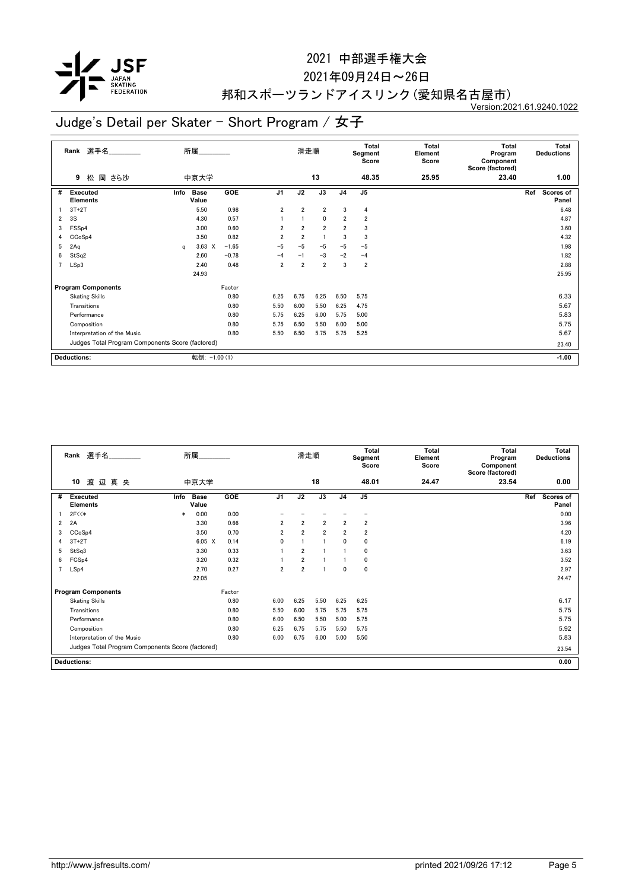

#### 2021年09月24日~26日

## 邦和スポーツランドアイスリンク(愛知県名古屋市)

Version:2021.61.9240.1022

|                | 選手名<br>Rank                                      |      | 所属                   |         |                | 滑走順            |                |                | <b>Total</b><br>Segment<br>Score | Total<br>Element<br>Score | <b>Total</b><br>Program<br>Component<br>Score (factored) |       | <b>Total</b><br><b>Deductions</b> |
|----------------|--------------------------------------------------|------|----------------------|---------|----------------|----------------|----------------|----------------|----------------------------------|---------------------------|----------------------------------------------------------|-------|-----------------------------------|
|                | 岡 さら沙<br>9<br>松                                  |      | 中京大学                 |         |                |                | 13             |                | 48.35                            | 25.95                     | 23.40                                                    |       | 1.00                              |
| #              | <b>Executed</b><br><b>Elements</b>               | Info | <b>Base</b><br>Value | GOE     | J <sub>1</sub> | J2             | J3             | J <sub>4</sub> | J <sub>5</sub>                   |                           |                                                          | Ref   | <b>Scores of</b><br>Panel         |
|                | $3T+2T$                                          |      | 5.50                 | 0.98    | $\overline{2}$ | $\overline{2}$ | $\overline{2}$ | 3              | 4                                |                           |                                                          |       | 6.48                              |
| $\overline{2}$ | 3S                                               |      | 4.30                 | 0.57    |                |                | $\mathbf{0}$   | $\overline{2}$ | $\overline{2}$                   |                           |                                                          |       | 4.87                              |
| 3              | FSSp4                                            |      | 3.00                 | 0.60    | $\overline{2}$ | $\overline{2}$ | $\overline{2}$ | $\overline{2}$ | 3                                |                           |                                                          |       | 3.60                              |
| 4              | CCoSp4                                           |      | 3.50                 | 0.82    | $\overline{2}$ | $\overline{2}$ |                | 3              | 3                                |                           |                                                          |       | 4.32                              |
| 5              | 2Aq                                              | a    | $3.63 \times$        | $-1.65$ | $-5$           | $-5$           | $-5$           | $-5$           | $-5$                             |                           |                                                          |       | 1.98                              |
| 6              | StSq2                                            |      | 2.60                 | $-0.78$ | $-4$           | $-1$           | $-3$           | $-2$           | $-4$                             |                           |                                                          |       | 1.82                              |
| $\overline{7}$ | LSp3                                             |      | 2.40                 | 0.48    | $\overline{2}$ | $\overline{2}$ | $\overline{2}$ | 3              | $\overline{2}$                   |                           |                                                          |       | 2.88                              |
|                |                                                  |      | 24.93                |         |                |                |                |                |                                  |                           |                                                          |       | 25.95                             |
|                | <b>Program Components</b>                        |      |                      | Factor  |                |                |                |                |                                  |                           |                                                          |       |                                   |
|                | <b>Skating Skills</b>                            |      |                      | 0.80    | 6.25           | 6.75           | 6.25           | 6.50           | 5.75                             |                           |                                                          |       | 6.33                              |
|                | Transitions                                      |      |                      | 0.80    | 5.50           | 6.00           | 5.50           | 6.25           | 4.75                             |                           |                                                          |       | 5.67                              |
|                | Performance                                      |      |                      | 0.80    | 5.75           | 6.25           | 6.00           | 5.75           | 5.00                             |                           |                                                          |       | 5.83                              |
|                | Composition                                      |      |                      | 0.80    | 5.75           | 6.50           | 5.50           | 6.00           | 5.00                             |                           |                                                          |       | 5.75                              |
|                | Interpretation of the Music                      |      |                      | 0.80    | 5.50           | 6.50           | 5.75           | 5.75           | 5.25                             |                           |                                                          |       | 5.67                              |
|                | Judges Total Program Components Score (factored) |      |                      |         |                |                |                |                |                                  |                           |                                                          | 23.40 |                                   |
|                | <b>Deductions:</b>                               |      | 転倒: -1.00 (1)        |         |                |                |                |                |                                  |                           |                                                          |       | $-1.00$                           |

|                | Rank 選手名                                         |        | 所属                   |            |                | 滑走順            |                |                | <b>Total</b><br>Segment<br>Score | <b>Total</b><br>Element<br>Score | <b>Total</b><br>Program<br>Component<br>Score (factored) | <b>Total</b><br><b>Deductions</b> |
|----------------|--------------------------------------------------|--------|----------------------|------------|----------------|----------------|----------------|----------------|----------------------------------|----------------------------------|----------------------------------------------------------|-----------------------------------|
|                | 10<br>渡辺真央                                       |        | 中京大学                 |            |                |                | 18             |                | 48.01                            | 24.47                            | 23.54                                                    | 0.00                              |
| #              | <b>Executed</b><br><b>Elements</b>               | Info   | <b>Base</b><br>Value | <b>GOE</b> | J <sub>1</sub> | J2             | J3             | J <sub>4</sub> | J <sub>5</sub>                   |                                  |                                                          | Scores of<br>Ref<br>Panel         |
|                | 2F<<                                             | $\ast$ | 0.00                 | 0.00       |                |                |                |                |                                  |                                  |                                                          | 0.00                              |
| $\overline{2}$ | 2A                                               |        | 3.30                 | 0.66       | $\overline{2}$ | $\overline{2}$ | $\overline{2}$ | $\overline{2}$ | $\overline{2}$                   |                                  |                                                          | 3.96                              |
| 3              | CC <sub>o</sub> S <sub>p4</sub>                  |        | 3.50                 | 0.70       | $\overline{2}$ | $\overline{2}$ | $\overline{2}$ | $\overline{2}$ | $\overline{2}$                   |                                  |                                                          | 4.20                              |
| 4              | $3T+2T$                                          |        | $6.05 \quad X$       | 0.14       | 0              |                | $\mathbf{1}$   | $\mathbf{0}$   | 0                                |                                  |                                                          | 6.19                              |
| 5              | StSq3                                            |        | 3.30                 | 0.33       |                | $\overline{2}$ |                |                | 0                                |                                  |                                                          | 3.63                              |
| 6              | FCS <sub>p4</sub>                                |        | 3.20                 | 0.32       |                | $\overline{2}$ |                |                | 0                                |                                  |                                                          | 3.52                              |
| $\overline{7}$ | LSp4                                             |        | 2.70                 | 0.27       | $\overline{2}$ | $\overline{2}$ |                | $\mathbf{0}$   | $\mathbf 0$                      |                                  |                                                          | 2.97                              |
|                |                                                  |        | 22.05                |            |                |                |                |                |                                  |                                  |                                                          | 24.47                             |
|                | <b>Program Components</b>                        |        |                      | Factor     |                |                |                |                |                                  |                                  |                                                          |                                   |
|                | <b>Skating Skills</b>                            |        |                      | 0.80       | 6.00           | 6.25           | 5.50           | 6.25           | 6.25                             |                                  |                                                          | 6.17                              |
|                | Transitions                                      |        |                      | 0.80       | 5.50           | 6.00           | 5.75           | 5.75           | 5.75                             |                                  |                                                          | 5.75                              |
|                | Performance                                      |        |                      | 0.80       | 6.00           | 6.50           | 5.50           | 5.00           | 5.75                             |                                  |                                                          | 5.75                              |
|                | Composition                                      |        |                      | 0.80       | 6.25           | 6.75           | 5.75           | 5.50           | 5.75                             |                                  |                                                          | 5.92                              |
|                | Interpretation of the Music                      |        |                      | 0.80       | 6.00           | 6.75           | 6.00           | 5.00           | 5.50                             |                                  |                                                          | 5.83                              |
|                | Judges Total Program Components Score (factored) |        |                      |            |                |                |                |                |                                  |                                  |                                                          | 23.54                             |
|                | <b>Deductions:</b>                               |        |                      |            |                |                |                |                |                                  |                                  |                                                          | 0.00                              |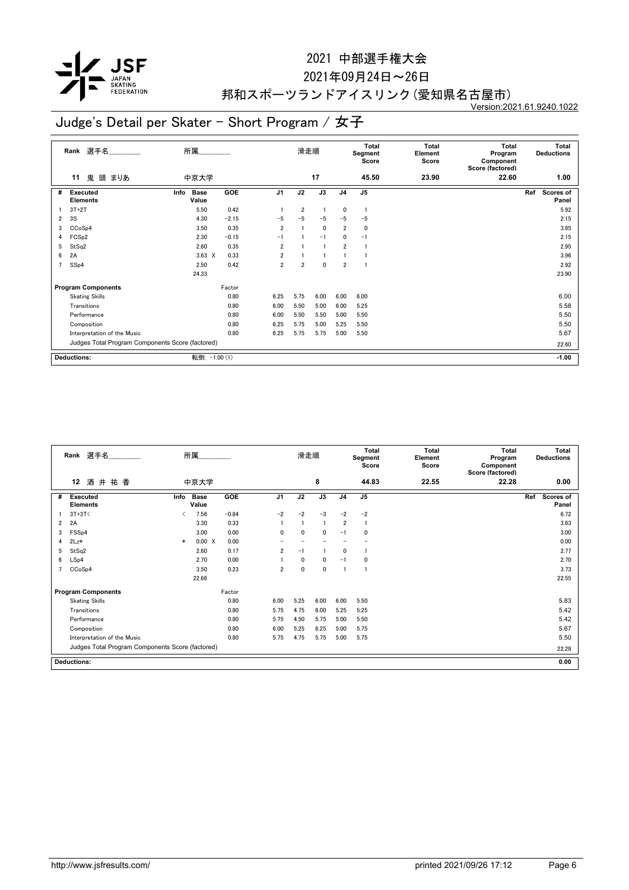

#### 2021年09月24日~26日

## 邦和スポーツランドアイスリンク(愛知県名古屋市)

Version:2021.61.9240.1022

|                | 選手名<br>Rank                                      | 所属                           |         |                | 滑走順            |              |                | <b>Total</b><br>Segment<br>Score | Total<br>Element<br>Score | <b>Total</b><br>Program<br>Component<br>Score (factored) | <b>Total</b><br><b>Deductions</b> |
|----------------|--------------------------------------------------|------------------------------|---------|----------------|----------------|--------------|----------------|----------------------------------|---------------------------|----------------------------------------------------------|-----------------------------------|
|                | 鬼<br>頭 まりあ<br>11                                 | 中京大学                         |         |                |                | 17           |                | 45.50                            | 23.90                     | 22.60                                                    | 1.00                              |
| #              | <b>Executed</b><br><b>Elements</b>               | <b>Base</b><br>Info<br>Value | GOE     | J <sub>1</sub> | J2             | J3           | J <sub>4</sub> | J <sub>5</sub>                   |                           |                                                          | Ref<br><b>Scores of</b><br>Panel  |
|                | $3T+2T$                                          | 5.50                         | 0.42    |                | $\overline{2}$ |              | 0              | -1                               |                           |                                                          | 5.92                              |
| $\overline{2}$ | 3S                                               | 4.30                         | $-2.15$ | $-5$           | -5             | $-5$         | $-5$           | $-5$                             |                           |                                                          | 2.15                              |
| 3              | CCoSp4                                           | 3.50                         | 0.35    | $\overline{2}$ |                | $\mathbf{0}$ | $\overline{2}$ | 0                                |                           |                                                          | 3.85                              |
| 4              | FCS <sub>p2</sub>                                | 2.30                         | $-0.15$ | $-1$           |                | $-1$         | $\mathbf{0}$   | $-1$                             |                           |                                                          | 2.15                              |
| 5              | StSq2                                            | 2.60                         | 0.35    | $\overline{2}$ |                |              | $\overline{2}$ |                                  |                           |                                                          | 2.95                              |
| 6              | 2A                                               | $3.63 \times$                | 0.33    | $\overline{2}$ |                |              |                |                                  |                           |                                                          | 3.96                              |
| $\overline{7}$ | SSp4                                             | 2.50                         | 0.42    | $\overline{2}$ | $\overline{2}$ | 0            | $\overline{2}$ |                                  |                           |                                                          | 2.92                              |
|                |                                                  | 24.33                        |         |                |                |              |                |                                  |                           |                                                          | 23.90                             |
|                | <b>Program Components</b>                        |                              | Factor  |                |                |              |                |                                  |                           |                                                          |                                   |
|                | <b>Skating Skills</b>                            |                              | 0.80    | 6.25           | 5.75           | 6.00         | 6.00           | 6.00                             |                           |                                                          | 6.00                              |
|                | Transitions                                      |                              | 0.80    | 6.00           | 5.50           | 5.00         | 6.00           | 5.25                             |                           |                                                          | 5.58                              |
|                | Performance                                      |                              | 0.80    | 6.00           | 5.50           | 5.50         | 5.00           | 5.50                             |                           |                                                          | 5.50                              |
|                | Composition                                      |                              | 0.80    | 6.25           | 5.75           | 5.00         | 5.25           | 5.50                             |                           |                                                          | 5.50                              |
|                | Interpretation of the Music                      |                              | 0.80    | 6.25           | 5.75           | 5.75         | 5.00           | 5.50                             |                           |                                                          | 5.67                              |
|                | Judges Total Program Components Score (factored) |                              |         |                |                |              |                |                                  |                           |                                                          | 22.60                             |
|                | <b>Deductions:</b>                               | 転倒: -1.00 (1)                |         |                |                |              |                |                                  |                           |                                                          | $-1.00$                           |

|   | Rank 選手名                                         |                                          | 所属                   |            |                | 滑走順          |                |                | <b>Total</b><br>Segment<br>Score | Total<br>Element<br>Score | <b>Total</b><br>Program<br>Component<br>Score (factored) | <b>Total</b><br><b>Deductions</b> |
|---|--------------------------------------------------|------------------------------------------|----------------------|------------|----------------|--------------|----------------|----------------|----------------------------------|---------------------------|----------------------------------------------------------|-----------------------------------|
|   | 酒井祐香<br>12                                       |                                          | 中京大学                 |            |                |              | 8              |                | 44.83                            | 22.55                     | 22.28                                                    | 0.00                              |
| # | <b>Executed</b><br><b>Elements</b>               | Info                                     | <b>Base</b><br>Value | <b>GOE</b> | J <sub>1</sub> | J2           | J3             | J <sub>4</sub> | J <sub>5</sub>                   |                           |                                                          | Scores of<br>Ref<br>Panel         |
|   | $3T+3T<$                                         | $\overline{\left\langle \right\rangle }$ | 7.56                 | $-0.84$    | $-2$           | $-2$         | $-3$           | $-2$           | $-2$                             |                           |                                                          | 6.72                              |
| 2 | 2A                                               |                                          | 3.30                 | 0.33       |                |              | $\blacksquare$ | $\overline{2}$ | -1                               |                           |                                                          | 3.63                              |
| 3 | FSS <sub>p4</sub>                                |                                          | 3.00                 | 0.00       | 0              | 0            | 0              | $-1$           | 0                                |                           |                                                          | 3.00                              |
| 4 | $2Lz*$                                           | $\ast$                                   | 0.00 X               | 0.00       |                |              |                |                |                                  |                           |                                                          | 0.00                              |
| 5 | StSq2                                            |                                          | 2.60                 | 0.17       | $\overline{2}$ | $-1$         |                | $\mathbf{0}$   |                                  |                           |                                                          | 2.77                              |
| 6 | LSp4                                             |                                          | 2.70                 | 0.00       |                | $\mathbf{0}$ | $\mathbf{0}$   | $-1$           | 0                                |                           |                                                          | 2.70                              |
|   | CCoSp4                                           |                                          | 3.50                 | 0.23       | 2              | 0            | 0              |                | -1                               |                           |                                                          | 3.73                              |
|   |                                                  |                                          | 22.66                |            |                |              |                |                |                                  |                           |                                                          | 22.55                             |
|   | <b>Program Components</b>                        |                                          |                      | Factor     |                |              |                |                |                                  |                           |                                                          |                                   |
|   | <b>Skating Skills</b>                            |                                          |                      | 0.80       | 6.00           | 5.25         | 6.00           | 6.00           | 5.50                             |                           |                                                          | 5.83                              |
|   | Transitions                                      |                                          |                      | 0.80       | 5.75           | 4.75         | 6.00           | 5.25           | 5.25                             |                           |                                                          | 5.42                              |
|   | Performance                                      |                                          |                      | 0.80       | 5.75           | 4.50         | 5.75           | 5.00           | 5.50                             |                           |                                                          | 5.42                              |
|   | Composition                                      |                                          |                      | 0.80       | 6.00           | 5.25         | 6.25           | 5.00           | 5.75                             |                           |                                                          | 5.67                              |
|   | Interpretation of the Music                      |                                          |                      | 0.80       | 5.75           | 4.75         | 5.75           | 5.00           | 5.75                             |                           |                                                          | 5.50                              |
|   | Judges Total Program Components Score (factored) |                                          |                      |            |                |              |                |                |                                  |                           |                                                          | 22.28                             |
|   | <b>Deductions:</b>                               |                                          |                      |            |                |              |                |                |                                  |                           |                                                          | 0.00                              |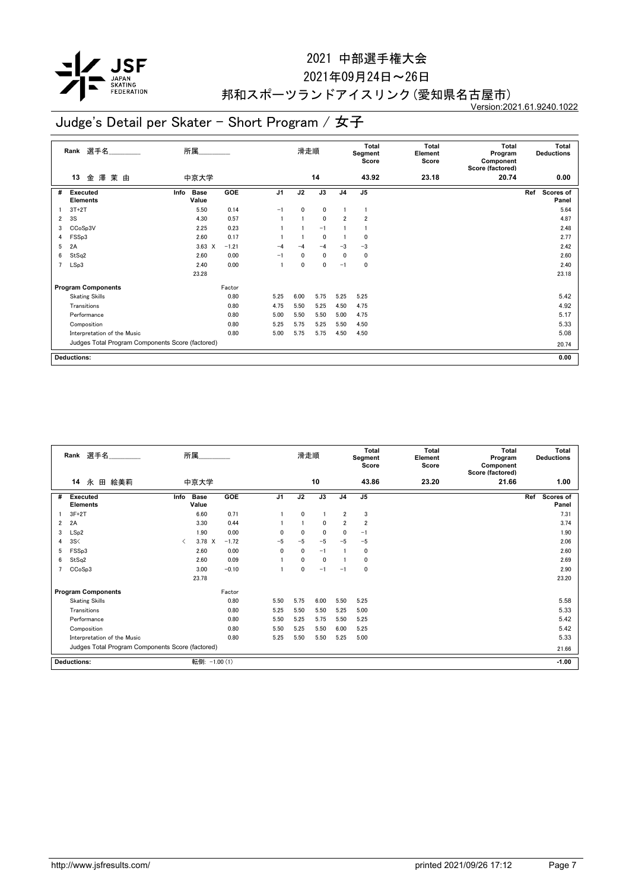

#### 2021年09月24日~26日

## 邦和スポーツランドアイスリンク(愛知県名古屋市)

Version:2021.61.9240.1022

|                | 選手名<br>Rank                                      | 所属                           |         | 滑走順            |              | Total<br>Segment<br>Score |                | Total<br>Element<br>Score | <b>Total</b><br>Program<br>Component<br>Score (factored) | Total<br><b>Deductions</b> |                                  |  |
|----------------|--------------------------------------------------|------------------------------|---------|----------------|--------------|---------------------------|----------------|---------------------------|----------------------------------------------------------|----------------------------|----------------------------------|--|
|                | 澤<br>茉由<br>13<br>金                               | 中京大学                         |         |                |              | 14                        |                | 43.92                     | 23.18                                                    | 20.74                      | 0.00                             |  |
| #              | <b>Executed</b><br><b>Elements</b>               | <b>Base</b><br>Info<br>Value | GOE     | J <sub>1</sub> | J2           | J3                        | J <sub>4</sub> | J <sub>5</sub>            |                                                          |                            | Ref<br><b>Scores of</b><br>Panel |  |
|                | $3T+2T$                                          | 5.50                         | 0.14    | $-1$           | $\mathbf{0}$ | $\mathbf{0}$              |                | 1                         |                                                          |                            | 5.64                             |  |
| 2              | 3S                                               | 4.30                         | 0.57    |                |              | $\mathbf{0}$              | $\overline{2}$ | $\overline{2}$            |                                                          |                            | 4.87                             |  |
| 3              | CCoSp3V                                          | 2.25                         | 0.23    |                |              | $-1$                      |                |                           |                                                          |                            | 2.48                             |  |
| 4              | FSSp3                                            | 2.60                         | 0.17    |                |              | $\mathbf 0$               |                | 0                         |                                                          |                            | 2.77                             |  |
| 5              | 2A                                               | $3.63 \times$                | $-1.21$ | $-4$           | -4           | $-4$                      | $-3$           | $-3$                      |                                                          |                            | 2.42                             |  |
| 6              | StSq2                                            | 2.60                         | 0.00    | $-1$           | $\mathbf{0}$ | $\mathbf{0}$              | $\mathbf{0}$   | 0                         |                                                          |                            | 2.60                             |  |
| $\overline{7}$ | LSp3                                             | 2.40                         | 0.00    |                | $\mathbf{0}$ | 0                         | $-1$           | 0                         |                                                          |                            | 2.40                             |  |
|                |                                                  | 23.28                        |         |                |              |                           |                |                           |                                                          |                            | 23.18                            |  |
|                | <b>Program Components</b>                        |                              | Factor  |                |              |                           |                |                           |                                                          |                            |                                  |  |
|                | <b>Skating Skills</b>                            |                              | 0.80    | 5.25           | 6.00         | 5.75                      | 5.25           | 5.25                      |                                                          |                            | 5.42                             |  |
|                | Transitions                                      |                              | 0.80    | 4.75           | 5.50         | 5.25                      | 4.50           | 4.75                      |                                                          |                            | 4.92                             |  |
|                | Performance                                      |                              | 0.80    | 5.00           | 5.50         | 5.50                      | 5.00           | 4.75                      |                                                          |                            | 5.17                             |  |
|                | Composition                                      |                              | 0.80    | 5.25           | 5.75         | 5.25                      | 5.50           | 4.50                      |                                                          |                            | 5.33                             |  |
|                | Interpretation of the Music                      |                              | 0.80    | 5.00           | 5.75         | 5.75                      | 4.50           | 4.50                      |                                                          |                            | 5.08                             |  |
|                | Judges Total Program Components Score (factored) |                              |         |                |              |                           |                |                           |                                                          |                            | 20.74                            |  |
|                | <b>Deductions:</b><br>0.00                       |                              |         |                |              |                           |                |                           |                                                          |                            |                                  |  |

|   | Rank 選手名<br>所属                                   |           |                      |            |                | 滑走順          |              | <b>Total</b><br>Segment<br>Score |                | Total<br>Element<br>Score | <b>Total</b><br>Program<br>Component<br>Score (factored) |       | <b>Total</b><br><b>Deductions</b> |
|---|--------------------------------------------------|-----------|----------------------|------------|----------------|--------------|--------------|----------------------------------|----------------|---------------------------|----------------------------------------------------------|-------|-----------------------------------|
|   | 14<br>永<br>田 絵美莉                                 |           | 中京大学                 |            |                |              | 10           |                                  | 43.86          | 23.20                     | 21.66                                                    |       | 1.00                              |
| # | Executed<br><b>Elements</b>                      | Info      | <b>Base</b><br>Value | <b>GOE</b> | J <sub>1</sub> | J2           | J3           | J <sub>4</sub>                   | J5             |                           |                                                          | Ref   | Scores of<br>Panel                |
|   | $3F+2T$                                          |           | 6.60                 | 0.71       |                | $\mathbf{0}$ |              | $\overline{2}$                   | 3              |                           |                                                          |       | 7.31                              |
| 2 | 2A                                               |           | 3.30                 | 0.44       |                |              | 0            | $\overline{2}$                   | $\overline{2}$ |                           |                                                          |       | 3.74                              |
| 3 | LSp2                                             |           | 1.90                 | 0.00       | $\Omega$       | 0            | $\mathbf{0}$ | $\mathbf{0}$                     | $-1$           |                           |                                                          |       | 1.90                              |
| 4 | 3S<                                              | $\langle$ | 3.78 X               | $-1.72$    | $-5$           | $-5$         | $-5$         | $-5$                             | $-5$           |                           |                                                          |       | 2.06                              |
| 5 | FSSp3                                            |           | 2.60                 | 0.00       | 0              | $\mathbf{0}$ | $-1$         |                                  | 0              |                           |                                                          |       | 2.60                              |
| 6 | StSq2                                            |           | 2.60                 | 0.09       |                | $\mathbf{0}$ | $\mathbf{0}$ |                                  | 0              |                           |                                                          |       | 2.69                              |
|   | CCoSp3                                           |           | 3.00                 | $-0.10$    |                | 0            | $-1$         | $-1$                             | 0              |                           |                                                          |       | 2.90                              |
|   |                                                  |           | 23.78                |            |                |              |              |                                  |                |                           |                                                          |       | 23.20                             |
|   | <b>Program Components</b>                        |           |                      | Factor     |                |              |              |                                  |                |                           |                                                          |       |                                   |
|   | <b>Skating Skills</b>                            |           |                      | 0.80       | 5.50           | 5.75         | 6.00         | 5.50                             | 5.25           |                           |                                                          |       | 5.58                              |
|   | Transitions                                      |           |                      | 0.80       | 5.25           | 5.50         | 5.50         | 5.25                             | 5.00           |                           |                                                          |       | 5.33                              |
|   | Performance                                      |           |                      | 0.80       | 5.50           | 5.25         | 5.75         | 5.50                             | 5.25           |                           |                                                          |       | 5.42                              |
|   | Composition                                      |           |                      | 0.80       | 5.50           | 5.25         | 5.50         | 6.00                             | 5.25           |                           |                                                          |       | 5.42                              |
|   | Interpretation of the Music                      |           |                      | 0.80       | 5.25           | 5.50         | 5.50         | 5.25                             | 5.00           |                           |                                                          |       | 5.33                              |
|   | Judges Total Program Components Score (factored) |           |                      |            |                |              |              |                                  |                |                           |                                                          | 21.66 |                                   |
|   | <b>Deductions:</b>                               |           | 転倒: -1.00 (1)        |            |                |              |              |                                  |                |                           |                                                          |       | $-1.00$                           |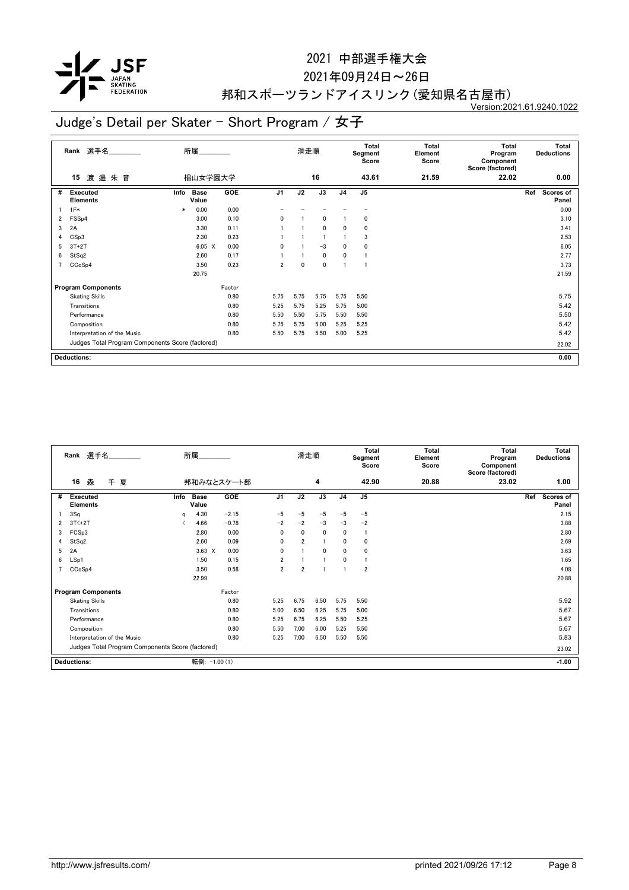

#### 2021年09月24日~26日

## 邦和スポーツランドアイスリンク(愛知県名古屋市)

Version:2021.61.9240.1022

|                | 選手名<br>Rank                                      | 所属                           |                        | 滑走順            |              | Total<br>Segment<br>Score |                | Total<br>Element<br>Score | <b>Total</b><br>Program<br>Component<br>Score (factored) | Total<br><b>Deductions</b> |                                  |  |
|----------------|--------------------------------------------------|------------------------------|------------------------|----------------|--------------|---------------------------|----------------|---------------------------|----------------------------------------------------------|----------------------------|----------------------------------|--|
|                | 渡邉朱音<br>15                                       |                              | 椙山女学園大学                |                |              | 16                        |                | 43.61                     | 21.59                                                    | 22.02                      | 0.00                             |  |
| #              | <b>Executed</b><br><b>Elements</b>               | <b>Base</b><br>Info<br>Value | GOE                    | J <sub>1</sub> | J2           | J3                        | J <sub>4</sub> | J <sub>5</sub>            |                                                          |                            | Ref<br><b>Scores of</b><br>Panel |  |
|                | $1F*$                                            | 0.00<br>$\ast$               | 0.00                   |                |              |                           |                |                           |                                                          |                            | 0.00                             |  |
| 2              | FSSp4                                            | 3.00                         | 0.10                   | 0              |              | $\mathbf{0}$              |                | 0                         |                                                          |                            | 3.10                             |  |
| 3              | 2A                                               | 3.30                         | 0.11                   |                |              | $\mathbf{0}$              | $\Omega$       | $\mathbf{0}$              |                                                          |                            | 3.41                             |  |
| 4              | CSp3                                             | 2.30                         | 0.23                   |                |              |                           |                | 3                         |                                                          |                            | 2.53                             |  |
| 5              | $3T+2T$                                          |                              | 0.00<br>$6.05 \quad X$ | $\Omega$       |              | $-3$                      | $\mathbf{0}$   | 0                         |                                                          |                            | 6.05                             |  |
| 6              | StSq2                                            | 2.60                         | 0.17                   |                |              | $\mathbf{0}$              | $\mathbf{0}$   | 1                         |                                                          |                            | 2.77                             |  |
| $\overline{ }$ | CCoSp4                                           | 3.50                         | 0.23                   | $\overline{2}$ | $\mathbf{0}$ | 0                         | -1             |                           |                                                          |                            | 3.73                             |  |
|                |                                                  | 20.75                        |                        |                |              |                           |                |                           |                                                          |                            | 21.59                            |  |
|                | <b>Program Components</b>                        |                              | Factor                 |                |              |                           |                |                           |                                                          |                            |                                  |  |
|                | <b>Skating Skills</b>                            |                              | 0.80                   | 5.75           | 5.75         | 5.75                      | 5.75           | 5.50                      |                                                          |                            | 5.75                             |  |
|                | Transitions                                      |                              | 0.80                   | 5.25           | 5.75         | 5.25                      | 5.75           | 5.00                      |                                                          |                            | 5.42                             |  |
|                | Performance                                      |                              | 0.80                   | 5.50           | 5.50         | 5.75                      | 5.50           | 5.50                      |                                                          |                            | 5.50                             |  |
|                | Composition                                      |                              | 0.80                   | 5.75           | 5.75         | 5.00                      | 5.25           | 5.25                      |                                                          |                            | 5.42                             |  |
|                | Interpretation of the Music                      |                              | 0.80                   | 5.50           | 5.75         | 5.50                      | 5.00           | 5.25                      |                                                          |                            | 5.42                             |  |
|                | Judges Total Program Components Score (factored) |                              |                        |                |              |                           |                |                           |                                                          | 22.02                      |                                  |  |
|                | 0.00<br><b>Deductions:</b>                       |                              |                        |                |              |                           |                |                           |                                                          |                            |                                  |  |

|                                                  | Rank 選手名                    |      | 所属                   |            |                | 滑走順            |              |                | <b>Total</b><br>Segment<br>Score | <b>Total</b><br>Element<br>Score | <b>Total</b><br>Program<br>Component<br>Score (factored) | <b>Total</b><br><b>Deductions</b> |
|--------------------------------------------------|-----------------------------|------|----------------------|------------|----------------|----------------|--------------|----------------|----------------------------------|----------------------------------|----------------------------------------------------------|-----------------------------------|
|                                                  | 16<br>森<br>千夏               |      |                      | 邦和みなとスケート部 |                |                | 4            |                | 42.90                            | 20.88                            | 23.02                                                    | 1.00                              |
| #                                                | <b>Executed</b><br>Elements | Info | <b>Base</b><br>Value | <b>GOE</b> | J <sub>1</sub> | J2             | J3           | J <sub>4</sub> | J5                               |                                  |                                                          | Scores of<br>Ref<br>Panel         |
|                                                  | 3Sq                         | q    | 4.30                 | $-2.15$    | $-5$           | $-5$           | $-5$         | $-5$           | $-5$                             |                                  |                                                          | 2.15                              |
| 2                                                | $3T<+2T$                    |      | 4.66                 | $-0.78$    | $-2$           | $-2$           | $-3$         | $-3$           | $-2$                             |                                  |                                                          | 3.88                              |
| 3                                                | FCS <sub>p3</sub>           |      | 2.80                 | 0.00       | 0              | $\mathbf{0}$   | $\mathbf{0}$ | $\mathbf{0}$   | $\mathbf{1}$                     |                                  |                                                          | 2.80                              |
| 4                                                | StSq2                       |      | 2.60                 | 0.09       | 0              | $\overline{2}$ |              | $\mathbf{0}$   | 0                                |                                  |                                                          | 2.69                              |
| 5                                                | 2A                          |      | $3.63 \times$        | 0.00       | 0              |                | 0            | $\mathbf{0}$   | 0                                |                                  |                                                          | 3.63                              |
| 6                                                | LSp1                        |      | 1.50                 | 0.15       | $\overline{2}$ |                |              | $\mathbf{0}$   |                                  |                                  |                                                          | 1.65                              |
|                                                  | CCoSp4                      |      | 3.50                 | 0.58       | $\overline{2}$ | $\overline{2}$ |              |                | $\overline{2}$                   |                                  |                                                          | 4.08                              |
|                                                  |                             |      | 22.99                |            |                |                |              |                |                                  |                                  |                                                          | 20.88                             |
|                                                  | <b>Program Components</b>   |      |                      | Factor     |                |                |              |                |                                  |                                  |                                                          |                                   |
|                                                  | <b>Skating Skills</b>       |      |                      | 0.80       | 5.25           | 6.75           | 6.50         | 5.75           | 5.50                             |                                  |                                                          | 5.92                              |
|                                                  | Transitions                 |      |                      | 0.80       | 5.00           | 6.50           | 6.25         | 5.75           | 5.00                             |                                  |                                                          | 5.67                              |
|                                                  | Performance                 |      |                      | 0.80       | 5.25           | 6.75           | 6.25         | 5.50           | 5.25                             |                                  |                                                          | 5.67                              |
|                                                  | Composition                 |      |                      | 0.80       | 5.50           | 7.00           | 6.00         | 5.25           | 5.50                             |                                  |                                                          | 5.67                              |
|                                                  | Interpretation of the Music |      |                      | 0.80       | 5.25           | 7.00           | 6.50         | 5.50           | 5.50                             |                                  |                                                          | 5.83                              |
| Judges Total Program Components Score (factored) |                             |      |                      |            |                |                |              |                |                                  |                                  |                                                          | 23.02                             |
|                                                  | <b>Deductions:</b>          |      | 転倒: -1.00 (1)        |            |                |                |              |                |                                  |                                  |                                                          | $-1.00$                           |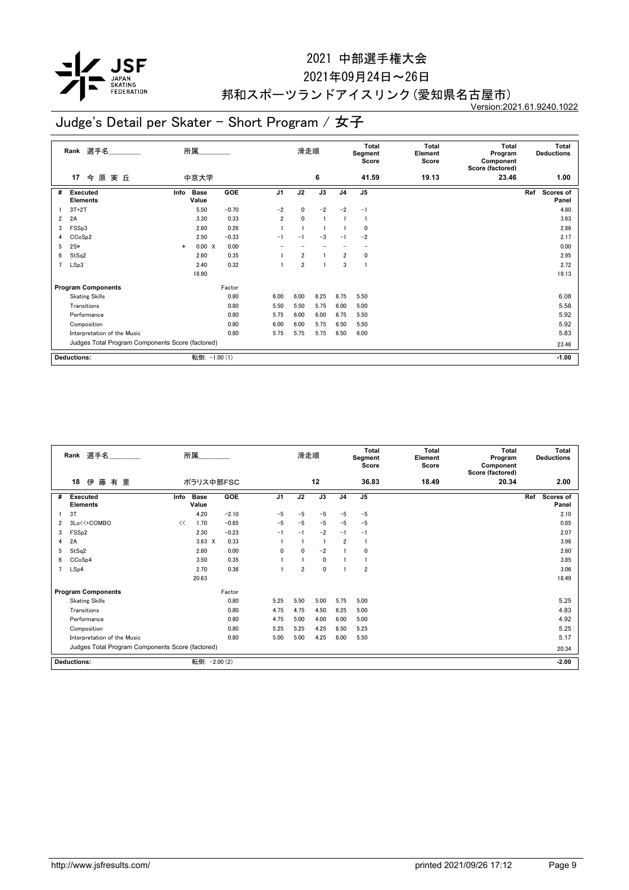

#### 2021年09月24日~26日

## 邦和スポーツランドアイスリンク(愛知県名古屋市)

Version:2021.61.9240.1022

| 選手名<br>Rank                                      |                                    |        | 所属                   |         |                | 滑走順            |      |                | <b>Total</b><br>Segment<br>Score | Total<br>Element<br>Score | <b>Total</b><br>Program<br>Component<br>Score (factored) | <b>Total</b><br><b>Deductions</b> |  |
|--------------------------------------------------|------------------------------------|--------|----------------------|---------|----------------|----------------|------|----------------|----------------------------------|---------------------------|----------------------------------------------------------|-----------------------------------|--|
|                                                  | 今原実丘<br>17                         |        | 中京大学                 |         |                |                | 6    |                | 41.59                            | 19.13                     | 23.46                                                    | 1.00                              |  |
| #                                                | <b>Executed</b><br><b>Elements</b> | Info   | <b>Base</b><br>Value | GOE     | J <sub>1</sub> | J2             | J3   | J <sub>4</sub> | J <sub>5</sub>                   |                           |                                                          | Ref<br><b>Scores of</b><br>Panel  |  |
|                                                  | $3T+2T$                            |        | 5.50                 | $-0.70$ | $-2$           | $\mathbf{0}$   | $-2$ | $-2$           | $-1$                             |                           |                                                          | 4.80                              |  |
| $\overline{2}$                                   | 2A                                 |        | 3.30                 | 0.33    | $\overline{2}$ | $\mathbf 0$    |      |                | 1                                |                           |                                                          | 3.63                              |  |
| 3                                                | FSSp3                              |        | 2.60                 | 0.26    |                |                |      |                | 0                                |                           |                                                          | 2.86                              |  |
| 4                                                | CCoSp2                             |        | 2.50                 | $-0.33$ | $-1$           | $-1$           | $-3$ | $-1$           | $-2$                             |                           |                                                          | 2.17                              |  |
| 5                                                | $2S*$                              | $\ast$ | 0.00 X               | 0.00    |                |                |      |                |                                  |                           |                                                          | 0.00                              |  |
| 6                                                | StSq2                              |        | 2.60                 | 0.35    |                | $\overline{2}$ |      | $\overline{2}$ | 0                                |                           |                                                          | 2.95                              |  |
| $\overline{7}$                                   | LSp3                               |        | 2.40                 | 0.32    |                | $\overline{2}$ |      | 3              | 1                                |                           |                                                          | 2.72                              |  |
|                                                  |                                    |        | 18.90                |         |                |                |      |                |                                  |                           |                                                          | 19.13                             |  |
|                                                  | <b>Program Components</b>          |        |                      | Factor  |                |                |      |                |                                  |                           |                                                          |                                   |  |
|                                                  | <b>Skating Skills</b>              |        |                      | 0.80    | 6.00           | 6.00           | 6.25 | 6.75           | 5.50                             |                           |                                                          | 6.08                              |  |
|                                                  | Transitions                        |        |                      | 0.80    | 5.50           | 5.50           | 5.75 | 6.00           | 5.00                             |                           |                                                          | 5.58                              |  |
|                                                  | Performance                        |        |                      | 0.80    | 5.75           | 6.00           | 6.00 | 6.75           | 5.50                             |                           |                                                          | 5.92                              |  |
|                                                  | Composition                        |        |                      | 0.80    | 6.00           | 6.00           | 5.75 | 6.50           | 5.50                             |                           |                                                          | 5.92                              |  |
|                                                  | Interpretation of the Music        |        |                      | 0.80    | 5.75           | 5.75           | 5.75 | 6.50           | 6.00                             |                           |                                                          | 5.83                              |  |
| Judges Total Program Components Score (factored) |                                    |        |                      |         |                |                |      |                |                                  |                           |                                                          | 23.46                             |  |
|                                                  | <b>Deductions:</b>                 |        | 転倒: -1.00 (1)        |         |                |                |      |                |                                  |                           |                                                          | $-1.00$                           |  |

| Rank 選手名 |                                                  |      | 所属                   |            |                | 滑走順            |      | <b>Total</b><br>Segment<br>Score |                | <b>Total</b><br>Element<br>Score | <b>Total</b><br>Program<br>Component<br>Score (factored) |     | <b>Total</b><br><b>Deductions</b> |
|----------|--------------------------------------------------|------|----------------------|------------|----------------|----------------|------|----------------------------------|----------------|----------------------------------|----------------------------------------------------------|-----|-----------------------------------|
|          | 18<br>伊<br>藤<br>有里                               |      | ポラリス中部FSC            |            |                |                | 12   |                                  | 36.83          | 18.49                            | 20.34                                                    |     | 2.00                              |
| #        | <b>Executed</b><br><b>Elements</b>               | Info | <b>Base</b><br>Value | <b>GOE</b> | J <sub>1</sub> | J2             | J3   | J <sub>4</sub>                   | J <sub>5</sub> |                                  |                                                          | Ref | Scores of<br>Panel                |
|          | 3T                                               |      | 4.20                 | $-2.10$    | $-5$           | $-5$           | $-5$ | $-5$                             | $-5$           |                                  |                                                          |     | 2.10                              |
| 2        | 3Lo<<+COMBO                                      | <<   | 1.70                 | $-0.85$    | $-5$           | $-5$           | $-5$ | $-5$                             | $-5$           |                                  |                                                          |     | 0.85                              |
| 3        | FSS <sub>p2</sub>                                |      | 2.30                 | $-0.23$    | $-1$           | $-1$           | $-2$ | $-1$                             | $-1$           |                                  |                                                          |     | 2.07                              |
| 4        | 2A                                               |      | $3.63 \times$        | 0.33       |                |                |      | $\overline{2}$                   |                |                                  |                                                          |     | 3.96                              |
| 5        | StSq2                                            |      | 2.60                 | 0.00       | 0              | $\mathbf{0}$   | $-2$ |                                  | $\mathbf 0$    |                                  |                                                          |     | 2.60                              |
| 6        | CCoSp4                                           |      | 3.50                 | 0.35       |                |                | 0    |                                  |                |                                  |                                                          |     | 3.85                              |
|          | LSp4                                             |      | 2.70                 | 0.36       |                | $\overline{2}$ | 0    |                                  | $\overline{2}$ |                                  |                                                          |     | 3.06                              |
|          |                                                  |      | 20.63                |            |                |                |      |                                  |                |                                  |                                                          |     | 18.49                             |
|          | <b>Program Components</b>                        |      |                      | Factor     |                |                |      |                                  |                |                                  |                                                          |     |                                   |
|          | <b>Skating Skills</b>                            |      |                      | 0.80       | 5.25           | 5.50           | 5.00 | 5.75                             | 5.00           |                                  |                                                          |     | 5.25                              |
|          | Transitions                                      |      |                      | 0.80       | 4.75           | 4.75           | 4.50 | 6.25                             | 5.00           |                                  |                                                          |     | 4.83                              |
|          | Performance                                      |      |                      | 0.80       | 4.75           | 5.00           | 4.00 | 6.00                             | 5.00           |                                  |                                                          |     | 4.92                              |
|          | Composition                                      |      |                      | 0.80       | 5.25           | 5.25           | 4.25 | 6.50                             | 5.25           |                                  |                                                          |     | 5.25                              |
|          | Interpretation of the Music                      |      |                      | 0.80       | 5.00           | 5.00           | 4.25 | 6.00                             | 5.50           |                                  |                                                          |     | 5.17                              |
|          | Judges Total Program Components Score (factored) |      |                      |            |                |                |      |                                  |                |                                  |                                                          |     | 20.34                             |
|          | <b>Deductions:</b>                               |      | 転倒: - 2.00 (2)       |            |                |                |      |                                  |                |                                  |                                                          |     | $-2.00$                           |